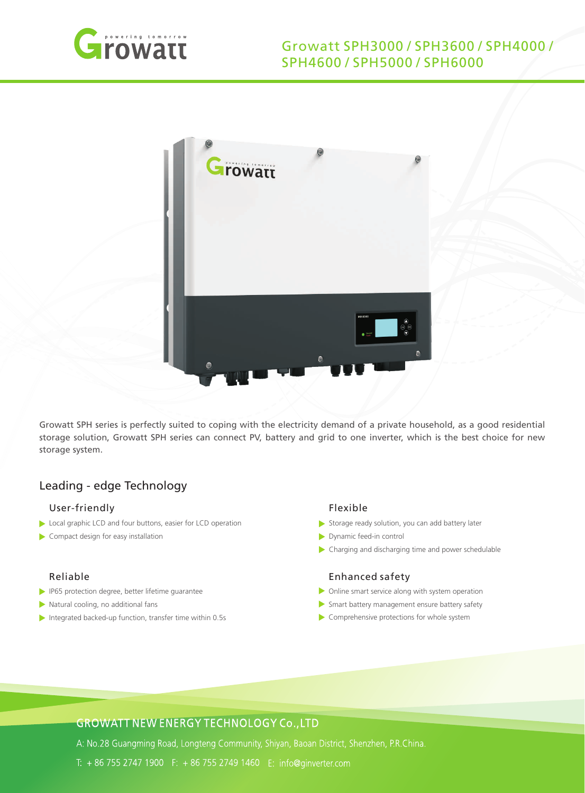



Growatt SPH series is perfectly suited to coping with the electricity demand of a private household, as a good residential storage solution, Growatt SPH series can connect PV, battery and grid to one inverter, which is the best choice for new storage system.

## Leading - edge Technology

## User-friendly

- Local graphic LCD and four buttons, easier for LCD operation
- Compact design for easy installation

## Reliable

- **IP65** protection degree, better lifetime guarantee
- Natural cooling, no additional fans
- Integrated backed-up function, transfer time within 0.5s

#### Flexible

- $\triangleright$  Storage ready solution, you can add battery later
- Dynamic feed-in control
- Charging and discharging time and power schedulable

#### Enhanced safety

- Online smart service along with system operation
- Smart battery management ensure battery safety
- Comprehensive protections for whole system

# **GROWATT NEW ENERGY TECHNOLOGY Co., LTD**

A: No.28 Guangming Road, Longteng Community, Shiyan, Baoan District, Shenzhen, P.R.China.

T: + 86 755 2747 1900 F: + 86 755 2749 1460 E: info@ginverter.com